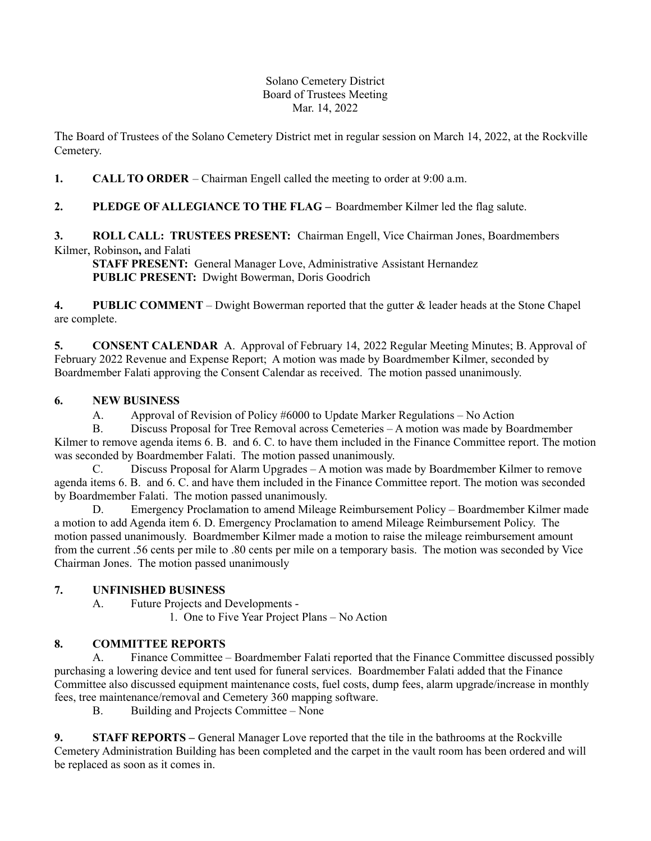#### Solano Cemetery District Board of Trustees Meeting Mar. 14, 2022

The Board of Trustees of the Solano Cemetery District met in regular session on March 14, 2022, at the Rockville Cemetery.

**1. CALL TO ORDER** – Chairman Engell called the meeting to order at 9:00 a.m.

# **2. PLEDGE OF ALLEGIANCE TO THE FLAG –** Boardmember Kilmer led the flag salute.

#### **3. ROLL CALL: TRUSTEES PRESENT:** Chairman Engell, Vice Chairman Jones, Boardmembers Kilmer, Robinson**,** and Falati

**STAFF PRESENT:** General Manager Love, Administrative Assistant Hernandez **PUBLIC PRESENT:** Dwight Bowerman, Doris Goodrich

**4. PUBLIC COMMENT** – Dwight Bowerman reported that the gutter & leader heads at the Stone Chapel are complete.

**5. CONSENT CALENDAR** A. Approval of February 14, 2022 Regular Meeting Minutes; B. Approval of February 2022 Revenue and Expense Report; A motion was made by Boardmember Kilmer, seconded by Boardmember Falati approving the Consent Calendar as received. The motion passed unanimously.

## **6. NEW BUSINESS**

A. Approval of Revision of Policy #6000 to Update Marker Regulations – No Action

B. Discuss Proposal for Tree Removal across Cemeteries – A motion was made by Boardmember Kilmer to remove agenda items 6. B. and 6. C. to have them included in the Finance Committee report. The motion was seconded by Boardmember Falati. The motion passed unanimously.

C. Discuss Proposal for Alarm Upgrades – A motion was made by Boardmember Kilmer to remove agenda items 6. B. and 6. C. and have them included in the Finance Committee report. The motion was seconded by Boardmember Falati. The motion passed unanimously.

D. Emergency Proclamation to amend Mileage Reimbursement Policy – Boardmember Kilmer made a motion to add Agenda item 6. D. Emergency Proclamation to amend Mileage Reimbursement Policy. The motion passed unanimously. Boardmember Kilmer made a motion to raise the mileage reimbursement amount from the current .56 cents per mile to .80 cents per mile on a temporary basis. The motion was seconded by Vice Chairman Jones. The motion passed unanimously

## **7. UNFINISHED BUSINESS**

A. Future Projects and Developments -

1. One to Five Year Project Plans – No Action

## **8. COMMITTEE REPORTS**

A. Finance Committee – Boardmember Falati reported that the Finance Committee discussed possibly purchasing a lowering device and tent used for funeral services. Boardmember Falati added that the Finance Committee also discussed equipment maintenance costs, fuel costs, dump fees, alarm upgrade/increase in monthly fees, tree maintenance/removal and Cemetery 360 mapping software.

B. Building and Projects Committee – None

**9. STAFF REPORTS –** General Manager Love reported that the tile in the bathrooms at the Rockville Cemetery Administration Building has been completed and the carpet in the vault room has been ordered and will be replaced as soon as it comes in.